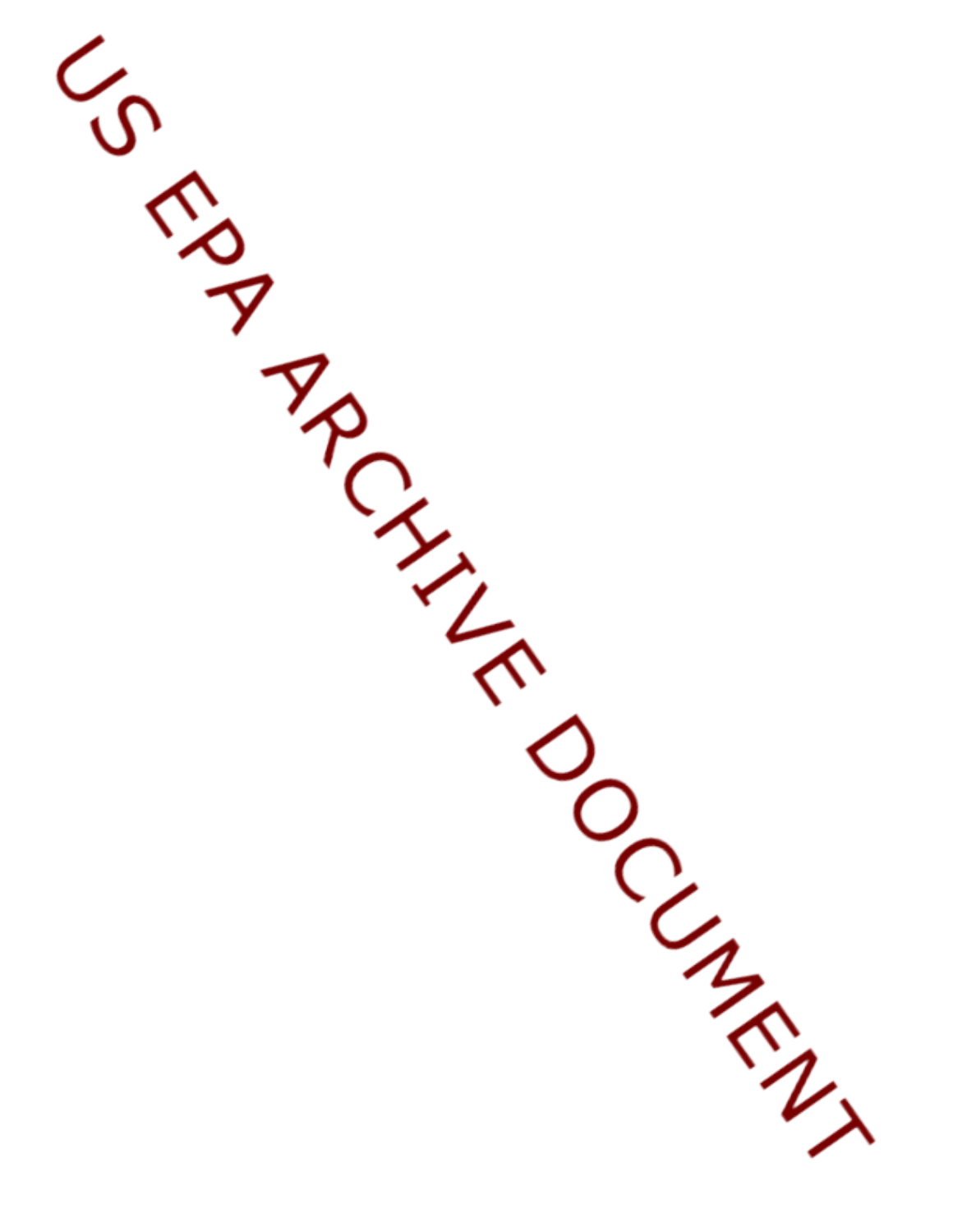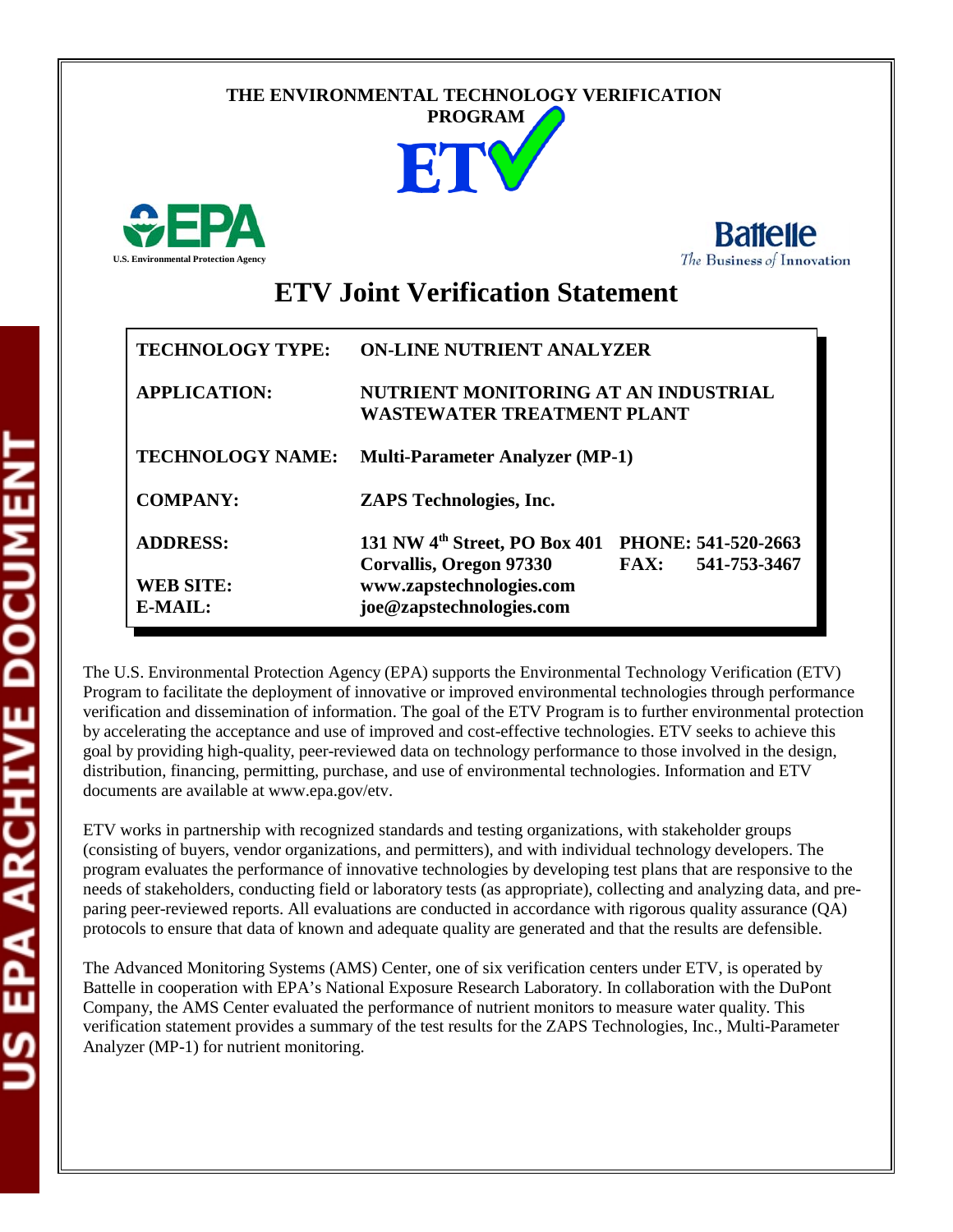## **THE ENVIRONMENTAL TECHNOLOGY VERIFICATION**







# **ETV Joint Verification Statement**

| <b>TECHNOLOGY TYPE:</b> | <b>ON-LINE NUTRIENT ANALYZER</b>                                                         |                             |  |  |
|-------------------------|------------------------------------------------------------------------------------------|-----------------------------|--|--|
| <b>APPLICATION:</b>     | NUTRIENT MONITORING AT AN INDUSTRIAL<br><b>WASTEWATER TREATMENT PLANT</b>                |                             |  |  |
| <b>TECHNOLOGY NAME:</b> | <b>Multi-Parameter Analyzer (MP-1)</b>                                                   |                             |  |  |
| <b>COMPANY:</b>         | <b>ZAPS</b> Technologies, Inc.                                                           |                             |  |  |
| <b>ADDRESS:</b>         | 131 NW 4 <sup>th</sup> Street, PO Box 401 PHONE: 541-520-2663<br>Corvallis, Oregon 97330 | 541-753-3467<br><b>FAX:</b> |  |  |
| <b>WEB SITE:</b>        | www.zapstechnologies.com                                                                 |                             |  |  |
| E-MAIL:                 | joe@zapstechnologies.com                                                                 |                             |  |  |

The U.S. Environmental Protection Agency (EPA) supports the Environmental Technology Verification (ETV) Program to facilitate the deployment of innovative or improved environmental technologies through performance verification and dissemination of information. The goal of the ETV Program is to further environmental protection by accelerating the acceptance and use of improved and cost-effective technologies. ETV seeks to achieve this goal by providing high-quality, peer-reviewed data on technology performance to those involved in the design, distribution, financing, permitting, purchase, and use of environmental technologies. Information and ETV documents are available at www.epa.gov/etv.

ETV works in partnership with recognized standards and testing organizations, with stakeholder groups (consisting of buyers, vendor organizations, and permitters), and with individual technology developers. The program evaluates the performance of innovative technologies by developing test plans that are responsive to the needs of stakeholders, conducting field or laboratory tests (as appropriate), collecting and analyzing data, and preparing peer-reviewed reports. All evaluations are conducted in accordance with rigorous quality assurance (QA) protocols to ensure that data of known and adequate quality are generated and that the results are defensible.

The Advanced Monitoring Systems (AMS) Center, one of six verification centers under ETV, is operated by Battelle in cooperation with EPA's National Exposure Research Laboratory. In collaboration with the DuPont Company, the AMS Center evaluated the performance of nutrient monitors to measure water quality. This verification statement provides a summary of the test results for the ZAPS Technologies, Inc., Multi-Parameter Analyzer (MP-1) for nutrient monitoring.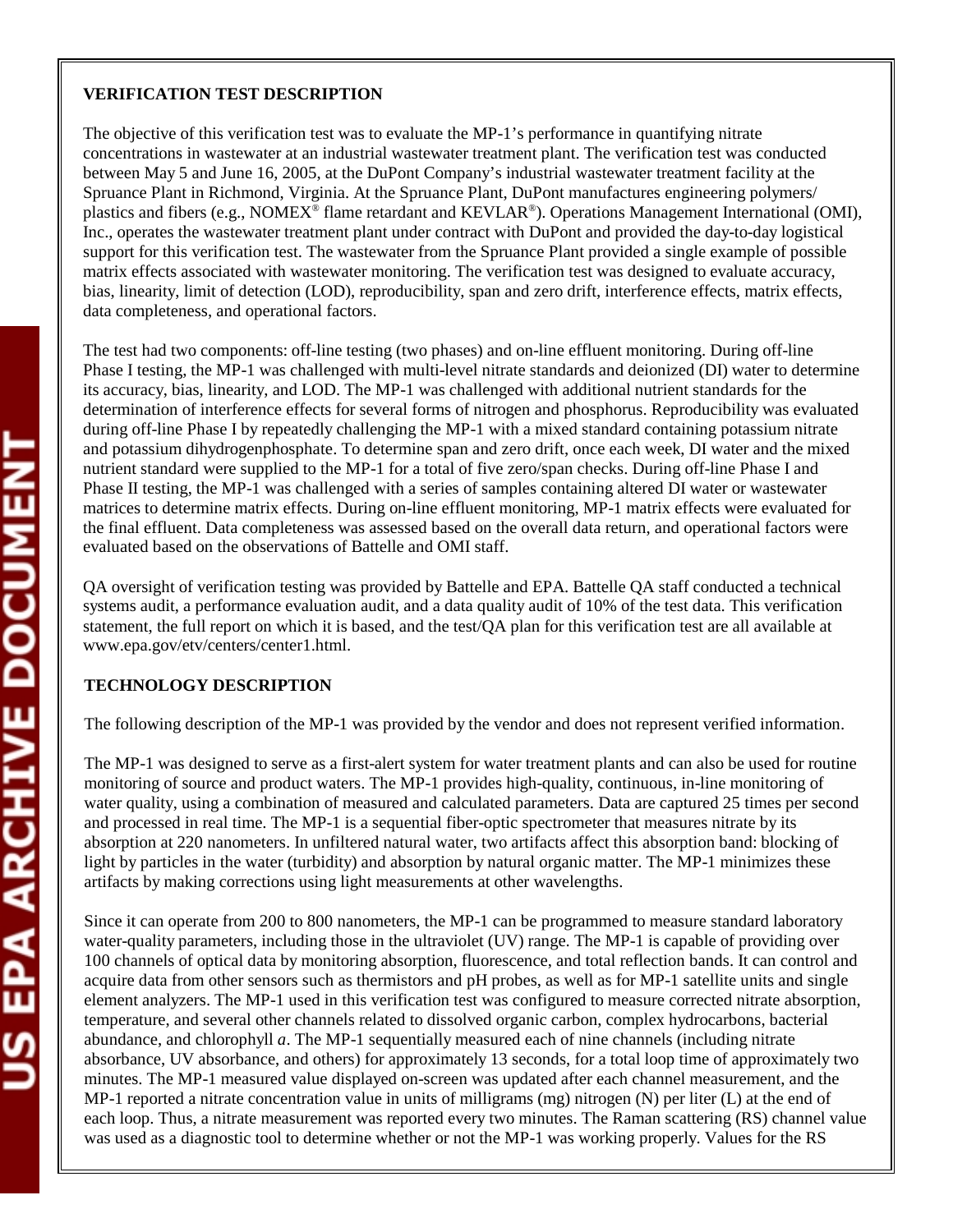#### **VERIFICATION TEST DESCRIPTION**

The objective of this verification test was to evaluate the MP-1's performance in quantifying nitrate concentrations in wastewater at an industrial wastewater treatment plant. The verification test was conducted between May 5 and June 16, 2005, at the DuPont Company's industrial wastewater treatment facility at the Spruance Plant in Richmond, Virginia. At the Spruance Plant, DuPont manufactures engineering polymers/ plastics and fibers (e.g., NOMEX® flame retardant and KEVLAR®). Operations Management International (OMI), Inc., operates the wastewater treatment plant under contract with DuPont and provided the day-to-day logistical support for this verification test. The wastewater from the Spruance Plant provided a single example of possible matrix effects associated with wastewater monitoring. The verification test was designed to evaluate accuracy, bias, linearity, limit of detection (LOD), reproducibility, span and zero drift, interference effects, matrix effects, data completeness, and operational factors.

The test had two components: off-line testing (two phases) and on-line effluent monitoring. During off-line Phase I testing, the MP-1 was challenged with multi-level nitrate standards and deionized (DI) water to determine its accuracy, bias, linearity, and LOD. The MP-1 was challenged with additional nutrient standards for the determination of interference effects for several forms of nitrogen and phosphorus. Reproducibility was evaluated during off-line Phase I by repeatedly challenging the MP-1 with a mixed standard containing potassium nitrate and potassium dihydrogenphosphate. To determine span and zero drift, once each week, DI water and the mixed nutrient standard were supplied to the MP-1 for a total of five zero/span checks. During off-line Phase I and Phase II testing, the MP-1 was challenged with a series of samples containing altered DI water or wastewater matrices to determine matrix effects. During on-line effluent monitoring, MP-1 matrix effects were evaluated for the final effluent. Data completeness was assessed based on the overall data return, and operational factors were evaluated based on the observations of Battelle and OMI staff.

QA oversight of verification testing was provided by Battelle and EPA. Battelle QA staff conducted a technical systems audit, a performance evaluation audit, and a data quality audit of 10% of the test data. This verification statement, the full report on which it is based, and the test/QA plan for this verification test are all available at www.epa.gov/etv/centers/center1.html.

### **TECHNOLOGY DESCRIPTION**

The following description of the MP-1 was provided by the vendor and does not represent verified information.

The MP-1 was designed to serve as a first-alert system for water treatment plants and can also be used for routine monitoring of source and product waters. The MP-1 provides high-quality, continuous, in-line monitoring of water quality, using a combination of measured and calculated parameters. Data are captured 25 times per second and processed in real time. The MP-1 is a sequential fiber-optic spectrometer that measures nitrate by its absorption at 220 nanometers. In unfiltered natural water, two artifacts affect this absorption band: blocking of light by particles in the water (turbidity) and absorption by natural organic matter. The MP-1 minimizes these artifacts by making corrections using light measurements at other wavelengths.

Since it can operate from 200 to 800 nanometers, the MP-1 can be programmed to measure standard laboratory water-quality parameters, including those in the ultraviolet (UV) range. The MP-1 is capable of providing over 100 channels of optical data by monitoring absorption, fluorescence, and total reflection bands. It can control and acquire data from other sensors such as thermistors and pH probes, as well as for MP-1 satellite units and single element analyzers. The MP-1 used in this verification test was configured to measure corrected nitrate absorption, temperature, and several other channels related to dissolved organic carbon, complex hydrocarbons, bacterial abundance, and chlorophyll *a*. The MP-1 sequentially measured each of nine channels (including nitrate absorbance, UV absorbance, and others) for approximately 13 seconds, for a total loop time of approximately two minutes. The MP-1 measured value displayed on-screen was updated after each channel measurement, and the MP-1 reported a nitrate concentration value in units of milligrams (mg) nitrogen (N) per liter (L) at the end of each loop. Thus, a nitrate measurement was reported every two minutes. The Raman scattering (RS) channel value was used as a diagnostic tool to determine whether or not the MP-1 was working properly. Values for the RS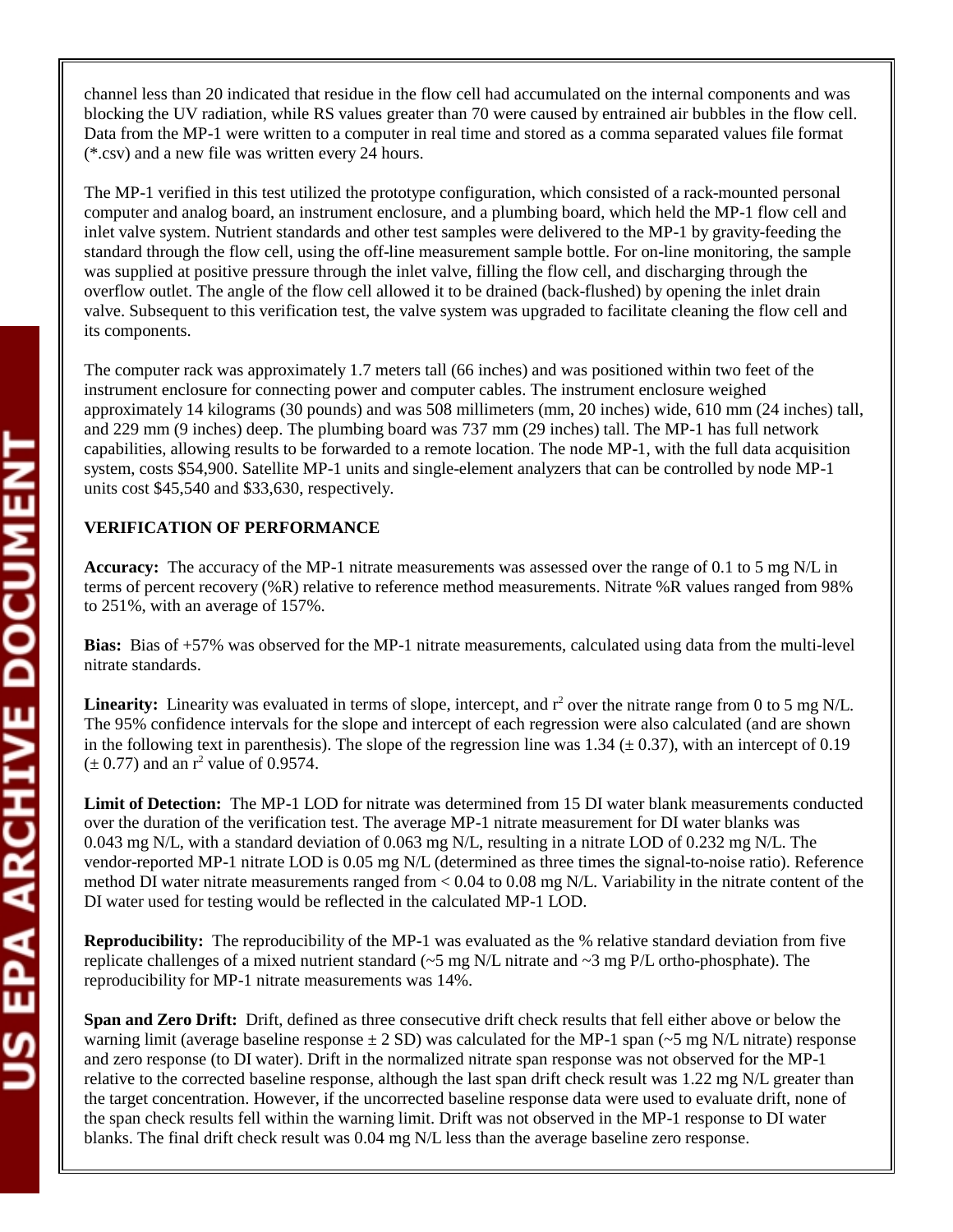channel less than 20 indicated that residue in the flow cell had accumulated on the internal components and was blocking the UV radiation, while RS values greater than 70 were caused by entrained air bubbles in the flow cell. Data from the MP-1 were written to a computer in real time and stored as a comma separated values file format (\*.csv) and a new file was written every 24 hours.

The MP-1 verified in this test utilized the prototype configuration, which consisted of a rack-mounted personal computer and analog board, an instrument enclosure, and a plumbing board, which held the MP-1 flow cell and inlet valve system. Nutrient standards and other test samples were delivered to the MP-1 by gravity-feeding the standard through the flow cell, using the off-line measurement sample bottle. For on-line monitoring, the sample was supplied at positive pressure through the inlet valve, filling the flow cell, and discharging through the overflow outlet. The angle of the flow cell allowed it to be drained (back-flushed) by opening the inlet drain valve. Subsequent to this verification test, the valve system was upgraded to facilitate cleaning the flow cell and its components.

The computer rack was approximately 1.7 meters tall (66 inches) and was positioned within two feet of the instrument enclosure for connecting power and computer cables. The instrument enclosure weighed approximately 14 kilograms (30 pounds) and was 508 millimeters (mm, 20 inches) wide, 610 mm (24 inches) tall, and 229 mm (9 inches) deep. The plumbing board was 737 mm (29 inches) tall. The MP-1 has full network capabilities, allowing results to be forwarded to a remote location. The node MP-1, with the full data acquisition system, costs \$54,900. Satellite MP-1 units and single-element analyzers that can be controlled by node MP-1 units cost \$45,540 and \$33,630, respectively.

#### **VERIFICATION OF PERFORMANCE**

**Accuracy:** The accuracy of the MP-1 nitrate measurements was assessed over the range of 0.1 to 5 mg N/L in terms of percent recovery (%R) relative to reference method measurements. Nitrate %R values ranged from 98% to 251%, with an average of 157%.

**Bias:** Bias of +57% was observed for the MP-1 nitrate measurements, calculated using data from the multi-level nitrate standards.

**Linearity:** Linearity was evaluated in terms of slope, intercept, and  $r^2$  over the nitrate range from 0 to 5 mg N/L. The 95% confidence intervals for the slope and intercept of each regression were also calculated (and are shown in the following text in parenthesis). The slope of the regression line was  $1.34 \ (\pm 0.37)$ , with an intercept of 0.19  $(\pm 0.77)$  and an r<sup>2</sup> value of 0.9574.

**Limit of Detection:** The MP-1 LOD for nitrate was determined from 15 DI water blank measurements conducted over the duration of the verification test. The average MP-1 nitrate measurement for DI water blanks was 0.043 mg N/L, with a standard deviation of 0.063 mg N/L, resulting in a nitrate LOD of 0.232 mg N/L. The vendor-reported MP-1 nitrate LOD is 0.05 mg N/L (determined as three times the signal-to-noise ratio). Reference method DI water nitrate measurements ranged from < 0.04 to 0.08 mg N/L. Variability in the nitrate content of the DI water used for testing would be reflected in the calculated MP-1 LOD.

**Reproducibility:** The reproducibility of the MP-1 was evaluated as the % relative standard deviation from five replicate challenges of a mixed nutrient standard ( $\sim$ 5 mg N/L nitrate and  $\sim$ 3 mg P/L ortho-phosphate). The reproducibility for MP-1 nitrate measurements was 14%.

**Span and Zero Drift:** Drift, defined as three consecutive drift check results that fell either above or below the warning limit (average baseline response  $\pm 2$  SD) was calculated for the MP-1 span ( $\sim$ 5 mg N/L nitrate) response and zero response (to DI water). Drift in the normalized nitrate span response was not observed for the MP-1 relative to the corrected baseline response, although the last span drift check result was 1.22 mg N/L greater than the target concentration. However, if the uncorrected baseline response data were used to evaluate drift, none of the span check results fell within the warning limit. Drift was not observed in the MP-1 response to DI water blanks. The final drift check result was 0.04 mg N/L less than the average baseline zero response.